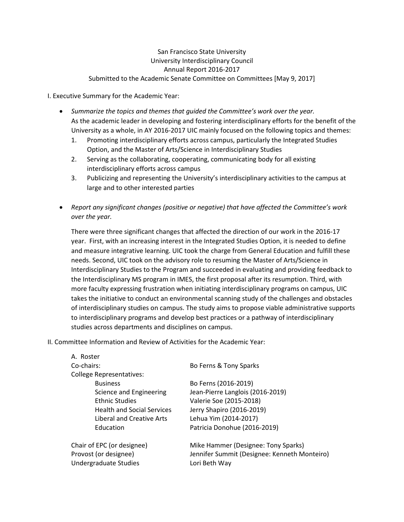## San Francisco State University University Interdisciplinary Council Annual Report 2016-2017 Submitted to the Academic Senate Committee on Committees [May 9, 2017]

I. Executive Summary for the Academic Year:

- *Summarize the topics and themes that guided the Committee's work over the year.* As the academic leader in developing and fostering interdisciplinary efforts for the benefit of the University as a whole, in AY 2016-2017 UIC mainly focused on the following topics and themes:
	- 1. Promoting interdisciplinary efforts across campus, particularly the Integrated Studies Option, and the Master of Arts/Science in Interdisciplinary Studies
	- 2. Serving as the collaborating, cooperating, communicating body for all existing interdisciplinary efforts across campus
	- 3. Publicizing and representing the University's interdisciplinary activities to the campus at large and to other interested parties
- *Report any significant changes (positive or negative) that have affected the Committee's work over the year.*

There were three significant changes that affected the direction of our work in the 2016-17 year. First, with an increasing interest in the Integrated Studies Option, it is needed to define and measure integrative learning. UIC took the charge from General Education and fulfill these needs. Second, UIC took on the advisory role to resuming the Master of Arts/Science in Interdisciplinary Studies to the Program and succeeded in evaluating and providing feedback to the Interdisciplinary MS program in IMES, the first proposal after its resumption. Third, with more faculty expressing frustration when initiating interdisciplinary programs on campus, UIC takes the initiative to conduct an environmental scanning study of the challenges and obstacles of interdisciplinary studies on campus. The study aims to propose viable administrative supports to interdisciplinary programs and develop best practices or a pathway of interdisciplinary studies across departments and disciplines on campus.

II. Committee Information and Review of Activities for the Academic Year:

| A. Roster                         |                                              |
|-----------------------------------|----------------------------------------------|
| Co-chairs:                        | Bo Ferns & Tony Sparks                       |
| <b>College Representatives:</b>   |                                              |
| <b>Business</b>                   | Bo Ferns (2016-2019)                         |
| Science and Engineering           | Jean-Pierre Langlois (2016-2019)             |
| <b>Ethnic Studies</b>             | Valerie Soe (2015-2018)                      |
| <b>Health and Social Services</b> | Jerry Shapiro (2016-2019)                    |
| Liberal and Creative Arts         | Lehua Yim (2014-2017)                        |
| Education                         | Patricia Donohue (2016-2019)                 |
| Chair of EPC (or designee)        | Mike Hammer (Designee: Tony Sparks)          |
| Provost (or designee)             | Jennifer Summit (Designee: Kenneth Monteiro) |
| Undergraduate Studies             | Lori Beth Way                                |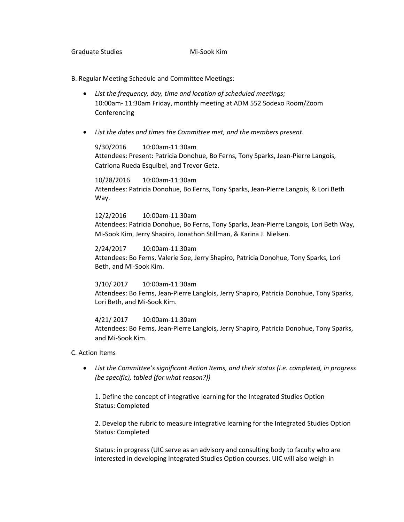B. Regular Meeting Schedule and Committee Meetings:

- *List the frequency, day, time and location of scheduled meetings;* 10:00am- 11:30am Friday, monthly meeting at ADM 552 Sodexo Room/Zoom Conferencing
- *List the dates and times the Committee met, and the members present.*

## 9/30/2016 10:00am-11:30am

Attendees: Present: Patricia Donohue, Bo Ferns, Tony Sparks, Jean-Pierre Langois, Catriona Rueda Esquibel, and Trevor Getz.

10/28/2016 10:00am-11:30am

Attendees: Patricia Donohue, Bo Ferns, Tony Sparks, Jean-Pierre Langois, & Lori Beth Way.

12/2/2016 10:00am-11:30am

Attendees: Patricia Donohue, Bo Ferns, Tony Sparks, Jean-Pierre Langois, Lori Beth Way, Mi-Sook Kim, Jerry Shapiro, Jonathon Stillman, & Karina J. Nielsen.

2/24/2017 10:00am-11:30am Attendees: Bo Ferns, Valerie Soe, Jerry Shapiro, Patricia Donohue, Tony Sparks, Lori Beth, and Mi-Sook Kim.

3/10/ 2017 10:00am-11:30am Attendees: Bo Ferns, Jean-Pierre Langlois, Jerry Shapiro, Patricia Donohue, Tony Sparks, Lori Beth, and Mi-Sook Kim.

4/21/ 2017 10:00am-11:30am Attendees: Bo Ferns, Jean-Pierre Langlois, Jerry Shapiro, Patricia Donohue, Tony Sparks, and Mi-Sook Kim.

C. Action Items

• *List the Committee's significant Action Items, and their status (i.e. completed, in progress (be specific), tabled (for what reason?))*

1. Define the concept of integrative learning for the Integrated Studies Option Status: Completed

2. Develop the rubric to measure integrative learning for the Integrated Studies Option Status: Completed

Status: in progress (UIC serve as an advisory and consulting body to faculty who are interested in developing Integrated Studies Option courses. UIC will also weigh in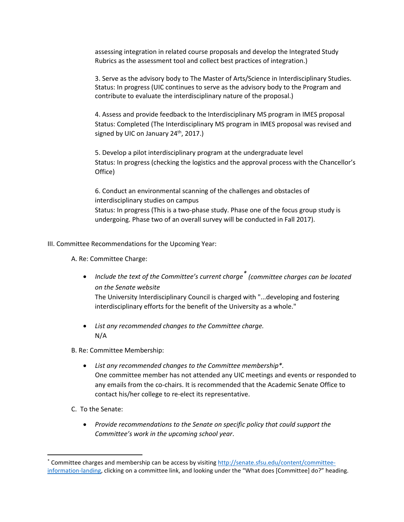assessing integration in related course proposals and develop the Integrated Study Rubrics as the assessment tool and collect best practices of integration.)

3. Serve as the advisory body to The Master of Arts/Science in Interdisciplinary Studies. Status: In progress (UIC continues to serve as the advisory body to the Program and contribute to evaluate the interdisciplinary nature of the proposal.)

4. Assess and provide feedback to the Interdisciplinary MS program in IMES proposal Status: Completed (The Interdisciplinary MS program in IMES proposal was revised and signed by UIC on January 24<sup>th</sup>, 2017.)

5. Develop a pilot interdisciplinary program at the undergraduate level Status: In progress (checking the logistics and the approval process with the Chancellor's Office)

6. Conduct an environmental scanning of the challenges and obstacles of interdisciplinary studies on campus Status: In progress (This is a two-phase study. Phase one of the focus group study is undergoing. Phase two of an overall survey will be conducted in Fall 2017).

III. Committee Recommendations for the Upcoming Year:

A. Re: Committee Charge:

• *Include the text of the Committee's current charge[\\*](#page-2-0) (committee charges can be located on the Senate website*

The University Interdisciplinary Council is charged with "...developing and fostering interdisciplinary efforts for the benefit of the University as a whole."

• *List any recommended changes to the Committee charge.* N/A

B. Re: Committee Membership:

- *List any recommended changes to the Committee membership\*.* One committee member has not attended any UIC meetings and events or responded to any emails from the co-chairs. It is recommended that the Academic Senate Office to contact his/her college to re-elect its representative.
- C. To the Senate:
	- *Provide recommendations to the Senate on specific policy that could support the Committee's work in the upcoming school year*.

<span id="page-2-0"></span> <sup>\*</sup> Committee charges and membership can be access by visitin[g http://senate.sfsu.edu/content/committee](http://senate.sfsu.edu/content/committee-information-landing)[information-landing,](http://senate.sfsu.edu/content/committee-information-landing) clicking on a committee link, and looking under the "What does [Committee] do?" heading.